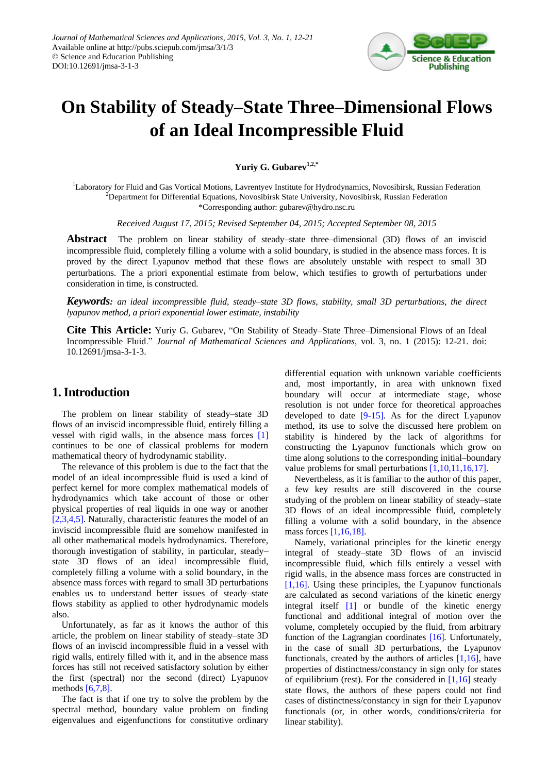

# **On Stability of Steady–State Three–Dimensional Flows of an Ideal Incompressible Fluid**

**Yuriy G. Gubarev1,2,\***

<sup>1</sup>Laboratory for Fluid and Gas Vortical Motions, Lavrentyev Institute for Hydrodynamics, Novosibirsk, Russian Federation  $2D$ epartment for Differential Equations, Novosibirsk State University, Novosibirsk, Russian Federation \*Corresponding author: gubarev@hydro.nsc.ru

*Received August 17, 2015; Revised September 04, 2015; Accepted September 08, 2015*

**Abstract** The problem on linear stability of steady–state three–dimensional (3D) flows of an inviscid incompressible fluid, completely filling a volume with a solid boundary, is studied in the absence mass forces. It is proved by the direct Lyapunov method that these flows are absolutely unstable with respect to small 3D perturbations. The a priori exponential estimate from below, which testifies to growth of perturbations under consideration in time, is constructed.

*Keywords: an ideal incompressible fluid, steady–state 3D flows, stability, small 3D perturbations, the direct lyapunov method, a priori exponential lower estimate, instability*

**Cite This Article:** Yuriy G. Gubarev, "On Stability of Steady–State Three–Dimensional Flows of an Ideal Incompressible Fluid." *Journal of Mathematical Sciences and Applications*, vol. 3, no. 1 (2015): 12-21. doi: 10.12691/jmsa-3-1-3.

# **1. Introduction**

The problem on linear stability of steady–state 3D flows of an inviscid incompressible fluid, entirely filling a vessel with rigid walls, in the absence mass forces [\[1\]](#page-8-0) continues to be one of classical problems for modern mathematical theory of hydrodynamic stability.

The relevance of this problem is due to the fact that the model of an ideal incompressible fluid is used a kind of perfect kernel for more complex mathematical models of hydrodynamics which take account of those or other physical properties of real liquids in one way or another [\[2,3,4,5\].](#page-8-1) Naturally, characteristic features the model of an inviscid incompressible fluid are somehow manifested in all other mathematical models hydrodynamics. Therefore, thorough investigation of stability, in particular, steady– state 3D flows of an ideal incompressible fluid, completely filling a volume with a solid boundary, in the absence mass forces with regard to small 3D perturbations enables us to understand better issues of steady–state flows stability as applied to other hydrodynamic models also.

Unfortunately, as far as it knows the author of this article, the problem on linear stability of steady–state 3D flows of an inviscid incompressible fluid in a vessel with rigid walls, entirely filled with it, and in the absence mass forces has still not received satisfactory solution by either the first (spectral) nor the second (direct) Lyapunov methods [\[6,7,8\].](#page-8-2)

The fact is that if one try to solve the problem by the spectral method, boundary value problem on finding eigenvalues and eigenfunctions for constitutive ordinary differential equation with unknown variable coefficients and, most importantly, in area with unknown fixed boundary will occur at intermediate stage, whose resolution is not under force for theoretical approaches developed to date [\[9-15\].](#page-8-3) As for the direct Lyapunov method, its use to solve the discussed here problem on stability is hindered by the lack of algorithms for constructing the Lyapunov functionals which grow on time along solutions to the corresponding initial–boundary value problems for small perturbation[s \[1,10,11,16,17\].](#page-8-0)

Nevertheless, as it is familiar to the author of this paper, a few key results are still discovered in the course studying of the problem on linear stability of steady–state 3D flows of an ideal incompressible fluid, completely filling a volume with a solid boundary, in the absence mass force[s \[1,16,18\].](#page-8-0)

Namely, variational principles for the kinetic energy integral of steady–state 3D flows of an inviscid incompressible fluid, which fills entirely a vessel with rigid walls, in the absence mass forces are constructed in  $[1,16]$ . Using these principles, the Lyapunov functionals are calculated as second variations of the kinetic energy integral itself [\[1\]](#page-8-0) or bundle of the kinetic energy functional and additional integral of motion over the volume, completely occupied by the fluid, from arbitrary function of the Lagrangian coordinates [\[16\].](#page-9-0) Unfortunately, in the case of small 3D perturbations, the Lyapunov functionals, created by the authors of articles [\[1,16\],](#page-8-0) have properties of distinctness/constancy in sign only for states of equilibrium (rest). For the considered in  $[1,16]$  steady– state flows, the authors of these papers could not find cases of distinctness/constancy in sign for their Lyapunov functionals (or, in other words, conditions/criteria for linear stability).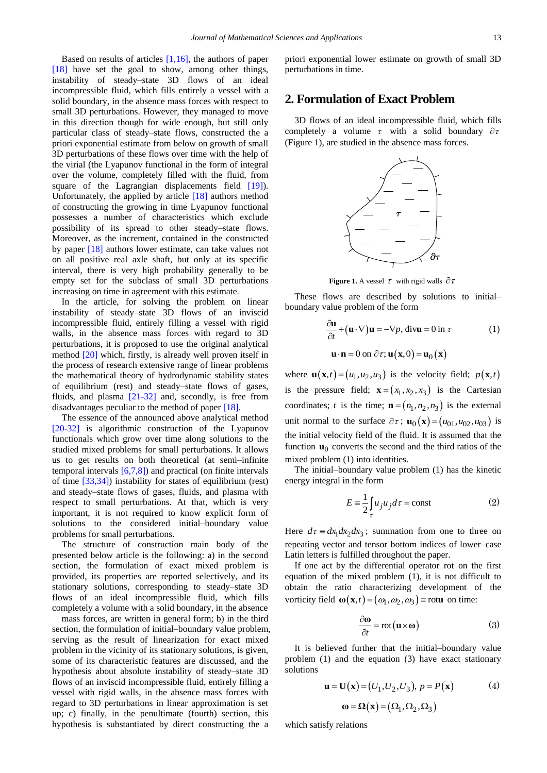Based on results of articles [\[1,16\],](#page-8-0) the authors of paper [\[18\]](#page-9-1) have set the goal to show, among other things, instability of steady–state 3D flows of an ideal incompressible fluid, which fills entirely a vessel with a solid boundary, in the absence mass forces with respect to small 3D perturbations. However, they managed to move in this direction though for wide enough, but still only particular class of steady–state flows, constructed the a priori exponential estimate from below on growth of small 3D perturbations of these flows over time with the help of the virial (the Lyapunov functional in the form of integral over the volume, completely filled with the fluid, from square of the Lagrangian displacements field [\[19\]\)](#page-9-2). Unfortunately, the applied by article [\[18\]](#page-9-1) authors method of constructing the growing in time Lyapunov functional possesses a number of characteristics which exclude possibility of its spread to other steady–state flows. Moreover, as the increment, contained in the constructed by paper [\[18\]](#page-9-1) authors lower estimate, can take values not on all positive real axle shaft, but only at its specific interval, there is very high probability generally to be empty set for the subclass of small 3D perturbations increasing on time in agreement with this estimate.

In the article, for solving the problem on linear instability of steady–state 3D flows of an inviscid incompressible fluid, entirely filling a vessel with rigid walls, in the absence mass forces with regard to 3D perturbations, it is proposed to use the original analytical method [\[20\]](#page-9-3) which, firstly, is already well proven itself in the process of research extensive range of linear problems the mathematical theory of hydrodynamic stability states of equilibrium (rest) and steady–state flows of gases, fluids, and plasma [\[21-32\]](#page-9-4) and, secondly, is free from disadvantages peculiar to the method of paper [\[18\].](#page-9-1)

The essence of the announced above analytical method [\[20-32\]](#page-9-3) is algorithmic construction of the Lyapunov functionals which grow over time along solutions to the studied mixed problems for small perturbations. It allows us to get results on both theoretical (at semi–infinite temporal intervals [\[6,7,8\]\)](#page-8-2) and practical (on finite intervals of time [\[33,34\]\)](#page-9-5) instability for states of equilibrium (rest) and steady–state flows of gases, fluids, and plasma with respect to small perturbations. At that, which is very important, it is not required to know explicit form of solutions to the considered initial–boundary value problems for small perturbations.

The structure of construction main body of the presented below article is the following: a) in the second section, the formulation of exact mixed problem is provided, its properties are reported selectively, and its stationary solutions, corresponding to steady–state 3D flows of an ideal incompressible fluid, which fills completely a volume with a solid boundary, in the absence

mass forces, are written in general form; b) in the third section, the formulation of initial–boundary value problem, serving as the result of linearization for exact mixed problem in the vicinity of its stationary solutions, is given, some of its characteristic features are discussed, and the hypothesis about absolute instability of steady–state 3D flows of an inviscid incompressible fluid, entirely filling a vessel with rigid walls, in the absence mass forces with regard to 3D perturbations in linear approximation is set up; c) finally, in the penultimate (fourth) section, this hypothesis is substantiated by direct constructing the a priori exponential lower estimate on growth of small 3D perturbations in time.

## **2. Formulation of Exact Problem**

3D flows of an ideal incompressible fluid, which fills completely a volume  $\tau$  with a solid boundary  $\partial \tau$ (Figure 1), are studied in the absence mass forces.



**Figure 1.** A vessel  $\tau$  with rigid walls  $\partial \tau$ 

These flows are described by solutions to initial– boundary value problem of the form

$$
\frac{\partial \mathbf{u}}{\partial t} + (\mathbf{u} \cdot \nabla) \mathbf{u} = -\nabla p, \text{ div}\mathbf{u} = 0 \text{ in } \tau \tag{1}
$$
  

$$
\mathbf{u} \cdot \mathbf{n} = 0 \text{ on } \partial \tau; \mathbf{u}(\mathbf{x}, 0) = \mathbf{u}_0(\mathbf{x})
$$

where  $\mathbf{u}(\mathbf{x},t) = (u_1, u_2, u_3)$  is the velocity field;  $p(\mathbf{x},t)$ is the pressure field;  $\mathbf{x} = (x_1, x_2, x_3)$  is the Cartesian coordinates; *t* is the time;  $\mathbf{n} = (n_1, n_2, n_3)$  is the external unit normal to the surface  $\partial \tau$ ;  $\mathbf{u}_0(\mathbf{x}) = (u_{01}, u_{02}, u_{03})$  is the initial velocity field of the fluid. It is assumed that the function  $\mathbf{u}_0$  converts the second and the third ratios of the mixed problem (1) into identities.

The initial–boundary value problem (1) has the kinetic energy integral in the form

$$
E = \frac{1}{2} \int_{\tau} u_j u_j d\tau = \text{const}
$$
 (2)

Here  $d\tau = dx_1 dx_2 dx_3$ ; summation from one to three on repeating vector and tensor bottom indices of lower–case Latin letters is fulfilled throughout the paper.

If one act by the differential operator rot on the first equation of the mixed problem (1), it is not difficult to obtain the ratio characterizing development of the vorticity field  $\omega(\mathbf{x}, t) = (\omega_1, \omega_2, \omega_3)$  = rotu on time:

$$
\frac{\partial \mathbf{\omega}}{\partial t} = \text{rot}(\mathbf{u} \times \mathbf{\omega})
$$
 (3)

It is believed further that the initial–boundary value problem (1) and the equation (3) have exact stationary solutions

$$
u = U(x) = (U1, U2, U3), p = P(x)
$$
 (4)

which satisfy relations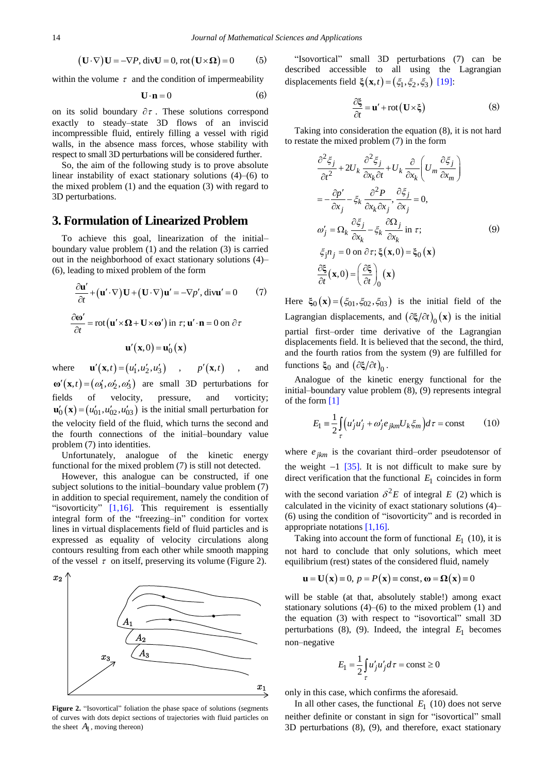$$
(\mathbf{U} \cdot \nabla)\mathbf{U} = -\nabla P, \text{div}\mathbf{U} = 0, \text{rot}(\mathbf{U} \times \mathbf{\Omega}) = 0
$$
 (5)

within the volume  $\tau$  and the condition of impermeability

$$
\mathbf{U} \cdot \mathbf{n} = 0 \tag{6}
$$

on its solid boundary  $\partial \tau$ . These solutions correspond exactly to steady–state 3D flows of an inviscid incompressible fluid, entirely filling a vessel with rigid walls, in the absence mass forces, whose stability with respect to small 3D perturbations will be considered further.

So, the aim of the following study is to prove absolute linear instability of exact stationary solutions (4)–(6) to the mixed problem (1) and the equation (3) with regard to 3D perturbations.

#### **3. Formulation of Linearized Problem**

To achieve this goal, linearization of the initial– boundary value problem (1) and the relation (3) is carried out in the neighborhood of exact stationary solutions (4)– (6), leading to mixed problem of the form

$$
\frac{\partial \mathbf{u}'}{\partial t} + (\mathbf{u}' \cdot \nabla) \mathbf{U} + (\mathbf{U} \cdot \nabla) \mathbf{u}' = -\nabla p', \text{ div} \mathbf{u}' = 0 \qquad (7)
$$
  

$$
\frac{\partial \mathbf{\omega}'}{\partial t} = \text{rot} (\mathbf{u}' \times \mathbf{\Omega} + \mathbf{U} \times \mathbf{\omega}') \text{ in } \tau; \mathbf{u}' \cdot \mathbf{n} = 0 \text{ on } \partial \tau
$$
  

$$
\mathbf{u}'(\mathbf{x}, 0) = \mathbf{u}'_0(\mathbf{x})
$$

where  $\mathbf{u}'(\mathbf{x}, t) = (u'_1, u'_2, u'_3)$ ,  $p'(\mathbf{x}, t)$ , and  $\mathbf{\omega}'(\mathbf{x},t) = (\omega'_1, \omega'_2, \omega'_3)$  are small 3D perturbations for fields of velocity, pressure, and vorticity;  $\mathbf{u}'_0(\mathbf{x}) = (u'_{01}, u'_{02}, u'_{03})$  is the initial small perturbation for the velocity field of the fluid, which turns the second and the fourth connections of the initial–boundary value problem (7) into identities.

Unfortunately, analogue of the kinetic energy functional for the mixed problem (7) is still not detected.

However, this analogue can be constructed, if one subject solutions to the initial–boundary value problem (7) in addition to special requirement, namely the condition of "isovorticity"  $[1,16]$ . This requirement is essentially integral form of the "freezing–in" condition for vortex lines in virtual displacements field of fluid particles and is expressed as equality of velocity circulations along contours resulting from each other while smooth mapping of the vessel  $\tau$  on itself, preserving its volume (Figure 2).



Figure 2. "Isovortical" foliation the phase space of solutions (segments of curves with dots depict sections of trajectories with fluid particles on the sheet  $A_1$ , moving thereon)

"Isovortical" small 3D perturbations (7) can be described accessible to all using the Lagrangian displacements field  $\xi(\mathbf{x}, t) = (\xi_1, \xi_2, \xi_3)$  [\[19\]:](#page-9-2)

$$
\frac{\partial \xi}{\partial t} = \mathbf{u}' + \text{rot} \left( \mathbf{U} \times \xi \right)
$$
 (8)

Taking into consideration the equation (8), it is not hard to restate the mixed problem (7) in the form

$$
\frac{\partial^2 \xi_j}{\partial t^2} + 2U_k \frac{\partial^2 \xi_j}{\partial x_k \partial t} + U_k \frac{\partial}{\partial x_k} \left( U_m \frac{\partial \xi_j}{\partial x_m} \right)
$$
  
\n
$$
= -\frac{\partial p'}{\partial x_j} - \xi_k \frac{\partial^2 P}{\partial x_k \partial x_j}, \frac{\partial \xi_j}{\partial x_j} = 0,
$$
  
\n
$$
\omega'_j = \Omega_k \frac{\partial \xi_j}{\partial x_k} - \xi_k \frac{\partial \Omega_j}{\partial x_k} \text{ in } \tau;
$$
  
\n
$$
\xi_j n_j = 0 \text{ on } \partial \tau; \xi(\mathbf{x}, 0) = \xi_0(\mathbf{x})
$$
  
\n
$$
\frac{\partial \xi}{\partial t}(\mathbf{x}, 0) = \left( \frac{\partial \xi}{\partial t} \right)_0 (\mathbf{x})
$$
  
\n(9)

Here  $\xi_0(\mathbf{x}) = (\xi_{01}, \xi_{02}, \xi_{03})$  is the initial field of the Lagrangian displacements, and  $(\partial \xi / \partial t)_0(\mathbf{x})$  is the initial partial first–order time derivative of the Lagrangian displacements field. It is believed that the second, the third, and the fourth ratios from the system (9) are fulfilled for functions  $\xi_0$  and  $(\partial \xi / \partial t)_0$ .

Analogue of the kinetic energy functional for the initial–boundary value problem (8), (9) represents integral of the for[m \[1\]](#page-8-0)

$$
E_1 = \frac{1}{2} \int_{\tau} \left( u'_j u'_j + \omega'_j e_{jkm} U_k \xi_m \right) d\tau = \text{const}
$$
 (10)

where  $e_{jkm}$  is the covariant third–order pseudotensor of the weight  $-1$  [\[35\].](#page-9-6) It is not difficult to make sure by direct verification that the functional  $E_1$  coincides in form with the second variation  $\delta^2 E$  of integral E (2) which is calculated in the vicinity of exact stationary solutions (4)– (6) using the condition of "isovorticity" and is recorded in appropriate notations [\[1,16\].](#page-8-0)

Taking into account the form of functional  $E_1$  (10), it is not hard to conclude that only solutions, which meet

equilibrium (rest) states of the considered fluid, namely  
\n
$$
\mathbf{u} = \mathbf{U}(\mathbf{x}) \equiv 0, p = P(\mathbf{x}) \equiv \text{const}, \mathbf{\omega} = \Omega(\mathbf{x}) \equiv 0
$$

will be stable (at that, absolutely stable!) among exact stationary solutions  $(4)$ – $(6)$  to the mixed problem  $(1)$  and the equation (3) with respect to "isovortical" small 3D perturbations  $(8)$ ,  $(9)$ . Indeed, the integral  $E_1$  becomes non–negative

$$
E_1 = \frac{1}{2} \int_{\tau} u'_j u'_j d\tau = \text{const} \ge 0
$$

only in this case, which confirms the aforesaid.

In all other cases, the functional  $E_1$  (10) does not serve neither definite or constant in sign for "isovortical" small 3D perturbations (8), (9), and therefore, exact stationary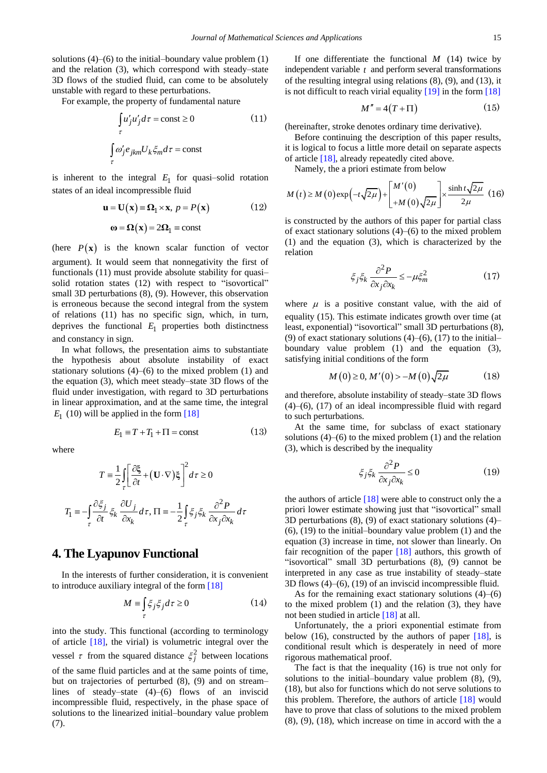solutions  $(4)$ – $(6)$  to the initial–boundary value problem  $(1)$ and the relation (3), which correspond with steady–state 3D flows of the studied fluid, can come to be absolutely unstable with regard to these perturbations.

For example, the property of fundamental nature

$$
\int_{\tau} u'_j u'_j d\tau = \text{const} \ge 0 \tag{11}
$$
\n
$$
\int_{\tau} \omega'_j e_{jkm} U_k \xi_m d\tau = \text{const}
$$

is inherent to the integral  $E_1$  for quasi-solid rotation states of an ideal incompressible fluid

$$
\mathbf{u} = \mathbf{U}(\mathbf{x}) \equiv \mathbf{\Omega}_1 \times \mathbf{x}, \ p = P(\mathbf{x})
$$
 (12)  

$$
\mathbf{\omega} = \mathbf{\Omega}(\mathbf{x}) = 2\mathbf{\Omega}_1 \equiv \text{const}
$$

(here  $P(x)$  is the known scalar function of vector argument). It would seem that nonnegativity the first of functionals (11) must provide absolute stability for quasi– solid rotation states (12) with respect to "isovortical" small 3D perturbations (8), (9). However, this observation is erroneous because the second integral from the system of relations (11) has no specific sign, which, in turn, deprives the functional  $E_1$  properties both distinctness and constancy in sign.

In what follows, the presentation aims to substantiate the hypothesis about absolute instability of exact stationary solutions (4)–(6) to the mixed problem (1) and the equation (3), which meet steady–state 3D flows of the fluid under investigation, with regard to 3D perturbations in linear approximation, and at the same time, the integral  $E_1$  (10) will be applied in the form [\[18\]](#page-9-1)

$$
E_1 \equiv T + T_1 + \Pi = \text{const} \tag{13}
$$

where

$$
T = \frac{1}{2} \int_{\tau} \left[ \frac{\partial \xi}{\partial t} + (\mathbf{U} \cdot \nabla) \xi \right]^2 d\tau \ge 0
$$
  

$$
T_1 = -\int_{\tau} \frac{\partial \xi_j}{\partial t} \xi_k \frac{\partial U_j}{\partial x_k} d\tau, \Pi = -\frac{1}{2} \int_{\tau} \xi_j \xi_k \frac{\partial^2 P}{\partial x_j \partial x_k} d\tau
$$

#### **4. The Lyapunov Functional**

In the interests of further consideration, it is convenient to introduce auxiliary integral of the form [\[18\]](#page-9-1)

$$
M \equiv \int_{\tau} \xi_j \xi_j d\tau \ge 0 \tag{14}
$$

into the study. This functional (according to terminology of article [\[18\],](#page-9-1) the virial) is volumetric integral over the vessel  $\tau$  from the squared distance  $\xi_j^2$  between locations of the same fluid particles and at the same points of time, but on trajectories of perturbed (8), (9) and on stream– lines of steady–state (4)–(6) flows of an inviscid incompressible fluid, respectively, in the phase space of solutions to the linearized initial–boundary value problem (7).

If one differentiate the functional  $M$  (14) twice by independent variable *t* and perform several transformations of the resulting integral using relations (8), (9), and (13), it is not difficult to reach virial equality [\[19\]](#page-9-2) in the form [\[18\]](#page-9-1)

$$
M'' = 4(T + \Pi) \tag{15}
$$

(hereinafter, stroke denotes ordinary time derivative).

Before continuing the description of this paper results, it is logical to focus a little more detail on separate aspects of articl[e \[18\],](#page-9-1) already repeatedly cited above.

Namely, the a priori estimate from below  
\n
$$
M(t) \ge M(0) \exp(-t\sqrt{2\mu}) + \begin{bmatrix} M'(0) \\ +M(0)\sqrt{2\mu} \end{bmatrix} \times \frac{\sinh t\sqrt{2\mu}}{2\mu} (16)
$$

is constructed by the authors of this paper for partial class of exact stationary solutions (4)–(6) to the mixed problem (1) and the equation (3), which is characterized by the relation

$$
\xi_j \xi_k \frac{\partial^2 P}{\partial x_j \partial x_k} \le -\mu \xi_m^2 \tag{17}
$$

where  $\mu$  is a positive constant value, with the aid of equality (15). This estimate indicates growth over time (at least, exponential) "isovortical" small 3D perturbations (8), (9) of exact stationary solutions  $(4)$ – $(6)$ ,  $(17)$  to the initial– boundary value problem (1) and the equation (3), satisfying initial conditions of the form

$$
M(0) \ge 0, M'(0) > -M(0)\sqrt{2\mu}
$$
 (18)

and therefore, absolute instability of steady–state 3D flows (4)–(6), (17) of an ideal incompressible fluid with regard to such perturbations.

At the same time, for subclass of exact stationary solutions  $(4)$ – $(6)$  to the mixed problem  $(1)$  and the relation (3), which is described by the inequality

$$
\xi_j \xi_k \frac{\partial^2 P}{\partial x_j \partial x_k} \le 0 \tag{19}
$$

the authors of article  $[18]$  were able to construct only the a priori lower estimate showing just that "isovortical" small 3D perturbations (8), (9) of exact stationary solutions (4)– (6), (19) to the initial–boundary value problem (1) and the equation (3) increase in time, not slower than linearly. On fair recognition of the paper  $[18]$  authors, this growth of "isovortical" small 3D perturbations (8), (9) cannot be interpreted in any case as true instability of steady–state 3D flows (4)–(6), (19) of an inviscid incompressible fluid.

As for the remaining exact stationary solutions (4)–(6) to the mixed problem (1) and the relation (3), they have not been studied in article [\[18\]](#page-9-1) at all.

Unfortunately, the a priori exponential estimate from below (16), constructed by the authors of paper  $[18]$ , is conditional result which is desperately in need of more rigorous mathematical proof.

The fact is that the inequality (16) is true not only for solutions to the initial–boundary value problem (8), (9), (18), but also for functions which do not serve solutions to this problem. Therefore, the authors of article [\[18\]](#page-9-1) would have to prove that class of solutions to the mixed problem (8), (9), (18), which increase on time in accord with the a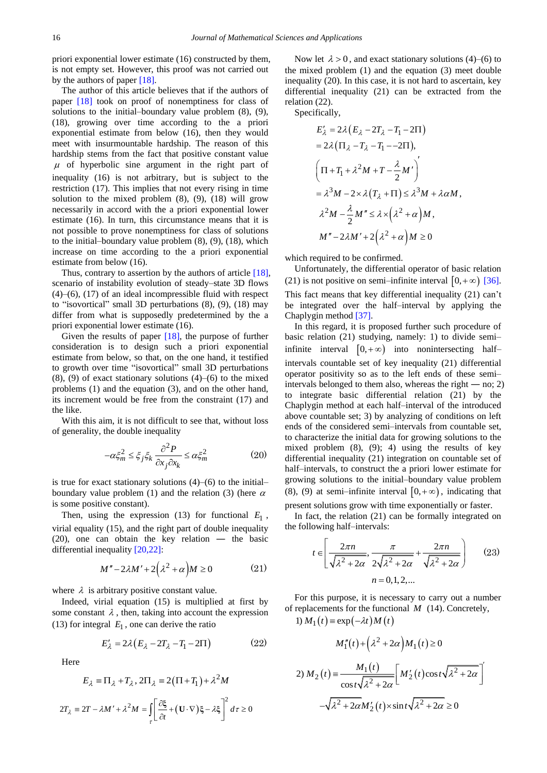priori exponential lower estimate (16) constructed by them, is not empty set. However, this proof was not carried out by the authors of paper [\[18\].](#page-9-1)

The author of this article believes that if the authors of paper [\[18\]](#page-9-1) took on proof of nonemptiness for class of solutions to the initial–boundary value problem (8), (9), (18), growing over time according to the a priori exponential estimate from below (16), then they would meet with insurmountable hardship. The reason of this hardship stems from the fact that positive constant value  $\mu$  of hyperbolic sine argument in the right part of inequality (16) is not arbitrary, but is subject to the restriction (17). This implies that not every rising in time solution to the mixed problem  $(8)$ ,  $(9)$ ,  $(18)$  will grow necessarily in accord with the a priori exponential lower estimate (16). In turn, this circumstance means that it is not possible to prove nonemptiness for class of solutions to the initial–boundary value problem (8), (9), (18), which increase on time according to the a priori exponential estimate from below (16).

Thus, contrary to assertion by the authors of article [\[18\],](#page-9-1) scenario of instability evolution of steady–state 3D flows (4)–(6), (17) of an ideal incompressible fluid with respect to "isovortical" small 3D perturbations (8), (9), (18) may differ from what is supposedly predetermined by the a priori exponential lower estimate (16).

Given the results of paper [\[18\],](#page-9-1) the purpose of further consideration is to design such a priori exponential estimate from below, so that, on the one hand, it testified to growth over time "isovortical" small 3D perturbations  $(8)$ ,  $(9)$  of exact stationary solutions  $(4)$ – $(6)$  to the mixed problems (1) and the equation (3), and on the other hand, its increment would be free from the constraint (17) and the like.

With this aim, it is not difficult to see that, without loss of generality, the double inequality

$$
-\alpha \xi_m^2 \le \xi_j \xi_k \frac{\partial^2 P}{\partial x_j \partial x_k} \le \alpha \xi_m^2 \tag{20}
$$

is true for exact stationary solutions  $(4)$ – $(6)$  to the initial– boundary value problem (1) and the relation (3) (here  $\alpha$ is some positive constant).

Then, using the expression  $(13)$  for functional  $E_1$ , virial equality (15), and the right part of double inequality (20), one can obtain the key relation ― the basic differential inequality [\[20,22\]:](#page-9-3)

$$
M'' - 2\lambda M' + 2(\lambda^2 + \alpha)M \ge 0
$$
 (21)

where  $\lambda$  is arbitrary positive constant value.

Indeed, virial equation (15) is multiplied at first by some constant  $\lambda$ , then, taking into account the expression (13) for integral  $E_1$ , one can derive the ratio

$$
E'_{\lambda} = 2\lambda \left( E_{\lambda} - 2T_{\lambda} - T_1 - 2\Pi \right) \tag{22}
$$

Here

$$
E_{\lambda} = \Pi_{\lambda} + T_{\lambda}, 2\Pi_{\lambda} = 2(\Pi + T_{1}) + \lambda^{2}M
$$
  

$$
2T_{\lambda} = 2T - \lambda M' + \lambda^{2}M = \iint_{\tau} \left[ \frac{\partial \xi}{\partial t} + (\mathbf{U} \cdot \nabla)\xi - \lambda \xi \right]^{2} d\tau \ge 0
$$

Now let  $\lambda > 0$ , and exact stationary solutions (4)–(6) to the mixed problem (1) and the equation (3) meet double inequality (20). In this case, it is not hard to ascertain, key differential inequality (21) can be extracted from the relation (22).

Specifically,

$$
E'_{\lambda} = 2\lambda (E_{\lambda} - 2T_{\lambda} - T_1 - 2\Pi)
$$
  
= 2\lambda (\Pi\_{\lambda} - T\_{\lambda} - T\_1 - -2\Pi),  

$$
\left(\Pi + T_1 + \lambda^2 M + T - \frac{\lambda}{2} M'\right)'
$$
  
=  $\lambda^3 M - 2 \times \lambda (T_{\lambda} + \Pi) \le \lambda^3 M + \lambda \alpha M,$   
 $\lambda^2 M - \frac{\lambda}{2} M'' \le \lambda \times (\lambda^2 + \alpha) M,$   
 $M'' - 2\lambda M' + 2(\lambda^2 + \alpha) M \ge 0$ 

which required to be confirmed.

Unfortunately, the differential operator of basic relation (21) is not positive on semi-infinite interval  $[0, +\infty)$  [\[36\].](#page-9-7) This fact means that key differential inequality (21) can't be integrated over the half–interval by applying the Chaplygin method [\[37\].](#page-9-8)

In this regard, it is proposed further such procedure of basic relation (21) studying, namely: 1) to divide semi– infinite interval  $[0, +\infty)$  into nonintersecting halfintervals countable set of key inequality (21) differential operator positivity so as to the left ends of these semi– intervals belonged to them also, whereas the right  $-$  no; 2) to integrate basic differential relation (21) by the Chaplygin method at each half–interval of the introduced above countable set; 3) by analyzing of conditions on left ends of the considered semi–intervals from countable set, to characterize the initial data for growing solutions to the mixed problem  $(8)$ ,  $(9)$ ; 4) using the results of key differential inequality (21) integration on countable set of half–intervals, to construct the a priori lower estimate for growing solutions to the initial–boundary value problem (8), (9) at semi-infinite interval  $[0, +\infty)$ , indicating that

present solutions grow with time exponentially or faster.

In fact, the relation (21) can be formally integrated on the following half–intervals:

$$
t \in \left[\frac{2\pi n}{\sqrt{\lambda^2 + 2\alpha}}, \frac{\pi}{2\sqrt{\lambda^2 + 2\alpha}} + \frac{2\pi n}{\sqrt{\lambda^2 + 2\alpha}}\right]
$$
 (23)  

$$
n = 0, 1, 2, ...
$$

For this purpose, it is necessary to carry out a number of replacements for the functional *M* (14). Concretely, 1)  $M_1(t) = \exp(-\lambda t) M(t)$ 

$$
M_1''(t) + (\lambda^2 + 2\alpha)M_1(t) \ge 0
$$
  
2) 
$$
M_2(t) = \frac{M_1(t)}{\cos t \sqrt{\lambda^2 + 2\alpha}} \left[M_2'(t)\cos t \sqrt{\lambda^2 + 2\alpha}\right]'
$$

$$
-\sqrt{\lambda^2 + 2\alpha}M_2'(t) \times \sin t \sqrt{\lambda^2 + 2\alpha} \ge 0
$$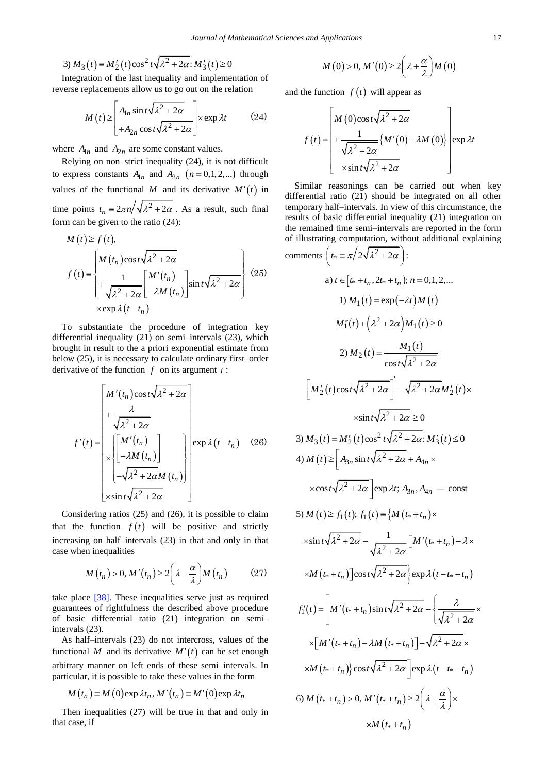3) 
$$
M_3(t) \equiv M'_2(t) \cos^2 t \sqrt{\lambda^2 + 2\alpha} \colon M'_3(t) \ge 0
$$

Integration of the last inequality and implementation of reverse replacements allow us to go out on the relation

$$
M(t) \ge \begin{bmatrix} A_{1n} \sin t \sqrt{\lambda^2 + 2\alpha} \\ + A_{2n} \cos t \sqrt{\lambda^2 + 2\alpha} \end{bmatrix} \times \exp \lambda t
$$
 (24)

where  $A_{1n}$  and  $A_{2n}$  are some constant values.

Relying on non–strict inequality (24), it is not difficult to express constants  $A_{1n}$  and  $A_{2n}$   $(n = 0, 1, 2, ...)$  through values of the functional M and its derivative  $M'(t)$  in time points  $t_n \equiv 2\pi n / \sqrt{\lambda^2 + 2\alpha}$ . As a result, such final

form can be given to the ratio (24):  
\n
$$
M(t) \ge f(t),
$$
\n
$$
f(t) = \begin{cases} M(t_n) \cos t \sqrt{\lambda^2 + 2\alpha} \\ + \frac{1}{\sqrt{\lambda^2 + 2\alpha}} \begin{bmatrix} M'(t_n) \\ -\lambda M(t_n) \end{bmatrix} \sin t \sqrt{\lambda^2 + 2\alpha} \end{cases}
$$
\n
$$
\times \exp \lambda (t - t_n)
$$
\n(25)

To substantiate the procedure of integration key differential inequality (21) on semi–intervals (23), which brought in result to the a priori exponential estimate from below (25), it is necessary to calculate ordinary first–order derivative of the function  $f$  on its argument  $t$ :

$$
f'(t) = \begin{bmatrix} M'(t_n) \cos t \sqrt{\lambda^2 + 2\alpha} \\ + \frac{\lambda}{\sqrt{\lambda^2 + 2\alpha}} \\ \times \begin{bmatrix} M'(t_n) \\ -\lambda M(t_n) \end{bmatrix} \\ \times \sin t \sqrt{\lambda^2 + 2\alpha} M(t_n) \end{bmatrix} \exp \lambda (t - t_n) \quad (26)
$$

Considering ratios (25) and (26), it is possible to claim that the function  $f(t)$  will be positive and strictly increasing on half–intervals (23) in that and only in that case when inequalities

$$
M(t_n) > 0, M'(t_n) \ge 2\left(\lambda + \frac{\alpha}{\lambda}\right)M(t_n) \qquad (27)
$$

take place [\[38\].](#page-9-9) These inequalities serve just as required guarantees of rightfulness the described above procedure of basic differential ratio (21) integration on semi– intervals (23).

As half–intervals (23) do not intercross, values of the functional M and its derivative  $M'(t)$  can be set enough arbitrary manner on left ends of these semi–intervals. In

particular, it is possible to take these values in the form  
\n
$$
M(t_n) \equiv M(0) \exp \lambda t_n, M'(t_n) \equiv M'(0) \exp \lambda t_n
$$

Then inequalities (27) will be true in that and only in that case, if

$$
M(0) > 0, M'(0) \ge 2\left(\lambda + \frac{\alpha}{\lambda}\right)M(0)
$$

and the function  $f(t)$  will appear as

$$
f(t) = \left[\begin{array}{c} M(0)\cos t\sqrt{\lambda^2 + 2\alpha} \\ + \frac{1}{\sqrt{\lambda^2 + 2\alpha}} \{M'(0) - \lambda M(0)\} \\ \times \sin t\sqrt{\lambda^2 + 2\alpha} \end{array}\right] \exp \lambda t
$$

Similar reasonings can be carried out when key differential ratio (21) should be integrated on all other temporary half–intervals. In view of this circumstance, the results of basic differential inequality (21) integration on the remained time semi–intervals are reported in the form of illustrating computation, without additional explaining

$$
comments\left(t_* \equiv \pi/2\sqrt{\lambda^2 + 2\alpha}\right):
$$
\na)  $t \in [t_* + t_n, 2t_* + t_n); n = 0, 1, 2, ...$   
\n1)  $M_1(t) = \exp(-\lambda t)M(t)$   
\n $M''_1(t) + (\lambda^2 + 2\alpha)M_1(t) \ge 0$   
\n2)  $M_2(t) = \frac{M_1(t)}{\cos t\sqrt{\lambda^2 + 2\alpha}}$   
\n
$$
\left[M'_2(t)\cos t\sqrt{\lambda^2 + 2\alpha}\right] - \sqrt{\lambda^2 + 2\alpha}M'_2(t) \times \frac{\sin t\sqrt{\lambda^2 + 2\alpha}}{2}
$$
\n3)  $M_3(t) = M'_2(t)\cos^2 t\sqrt{\lambda^2 + 2\alpha}: M'_3(t) \le 0$   
\n4)  $M(t) \ge [A_{3n} \sin t\sqrt{\lambda^2 + 2\alpha} + A_{4n} \times \frac{\cos t\sqrt{\lambda^2 + 2\alpha}}{2}\right] \exp \lambda t; A_{3n}, A_{4n} - \text{const}$   
\n5)  $M(t) \ge f_1(t); f_1(t) = \{M(t_* + t_n) \times \frac{\sin t\sqrt{\lambda^2 + 2\alpha} - \frac{1}{\sqrt{\lambda^2 + 2\alpha}}}{\sqrt{\lambda^2 + 2\alpha}} [M'(t_* + t_n) - \lambda \times \frac{\sin t\sqrt{\lambda^2 + 2\alpha} - \frac{1}{\sqrt{\lambda^2 + 2\alpha}}}{\sqrt{\lambda^2 + 2\alpha}}] \exp \lambda(t - t_* - t_n)$   
\n $f'_1(t) = [M'(t_* + t_n) \sin t\sqrt{\lambda^2 + 2\alpha} - {\frac{\lambda}{\sqrt{\lambda^2 + 2\alpha}} \times \frac{\lambda}{\lambda}}{M(t_* + t_n) - \lambda M(t_* + t_n)] - {\sqrt{\lambda^2 + 2\alpha}} \times \frac{\lambda}{\lambda}M(t_* + t_n) \cos t\sqrt{\lambda^2 + 2\alpha}] \exp \lambda(t - t_* - t_n)$   
\n6)  $M(t_* + t_n) > 0, M'(t_* + t_n) \ge 2(\lambda + \frac{\alpha}{\lambda}) \times \frac{\lambda}{M(t_* + t_n)} \times \frac{\lambda}{M(t_* + t_n)} \times \frac{\lambda}{M(t_* + t_n)} \times \frac{\lambda}{M(t_*$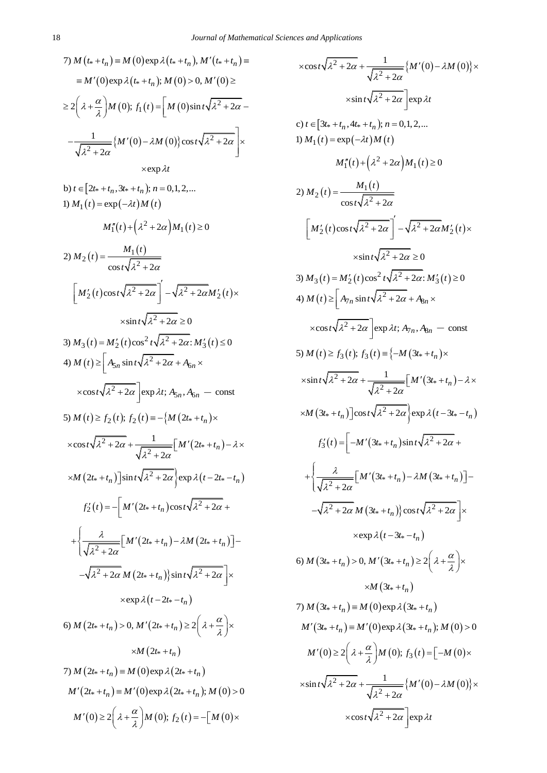$$
7) M(t_{*} + t_{n}) \equiv M(0) \exp \lambda(t_{*} + t_{n}), M'(t_{*} + t_{n}) \equiv
$$
  
\n
$$
\equiv M'(0) \exp \lambda(t_{*} + t_{n}); M(0) > 0, M'(0) \ge
$$
  
\n
$$
\ge 2\left(\lambda + \frac{\alpha}{\lambda}\right)M(0); f_{1}(t) = \left[M(0) \sin t \sqrt{\lambda^{2} + 2\alpha} - \frac{1}{\sqrt{\lambda^{2} + 2\alpha}}\right]M(0) - \lambda M(0)\cos t \sqrt{\lambda^{2} + 2\alpha}
$$
  
\n
$$
\times \exp \lambda t
$$

b) 
$$
t \in [2t_s + t_n, 3t_s + t_n]; n = 0, 1, 2, ...
$$
  
\n1)  $M_1(t) = \exp(-\lambda t)M(t)$   
\n $M''_1(t) + (\lambda^2 + 2\alpha)M_1(t) \ge 0$   
\n2)  $M_2(t) = \frac{M_1(t)}{\cos t \sqrt{\lambda^2 + 2\alpha}} \int -\sqrt{\lambda^2 + 2\alpha}M'_2(t) \times$   
\n $\times \sin t \sqrt{\lambda^2 + 2\alpha} \ge 0$   
\n3)  $M_3(t) = M'_2(t) \cos^2 t \sqrt{\lambda^2 + 2\alpha} M'_3(t) \le 0$   
\n4)  $M(t) \ge \left[A_{5n} \sin t \sqrt{\lambda^2 + 2\alpha} + A_{6n} \times \cos t \sqrt{\lambda^2 + 2\alpha}\right] \exp \lambda t; A_{5n}, A_{6n} - \text{const}$   
\n5)  $M(t) \ge f_2(t); f_2(t) = -\left\{M(2t_s + t_n) \times \cos t \sqrt{\lambda^2 + 2\alpha} + \frac{1}{\sqrt{\lambda^2 + 2\alpha}} \left[M'(2t_s + t_n) - \lambda \times \frac{M(2t_s + t_n)}{\sqrt{\lambda^2 + 2\alpha}}\right] \exp \lambda(t - 2t_s - t_n) \right\}$   
\n $\times M(2t_s + t_n) \sin t \sqrt{\lambda^2 + 2\alpha} \exp \lambda(t - 2t_s - t_n)$   
\n $f'_2(t) = -\left[M'(2t_s + t_n) \cos t \sqrt{\lambda^2 + 2\alpha} + \frac{\lambda}{\sqrt{\lambda^2 + 2\alpha}} \left[M'(2t_s + t_n) - \lambda M(2t_s + t_n)\right] - \sqrt{\lambda^2 + 2\alpha} M(2t_s + t_n) \right\} \sin t \sqrt{\lambda^2 + 2\alpha} \right] \times \exp \lambda(t - 2t_s - t_n)$   
\n6)  $M(2t_s + t_n) > 0, M'(2t_s + t_n) \ge 2\left(\lambda + \frac{\alpha}{\lambda}\right) \times \lambda M(2t_s + t_n) \ge 2\left( \lambda + \frac{\alpha}{\lambda} \right) \times \lambda M(2t_s + t_n) \approx M(2t_s + t_n)$   
\n7)  $M(2t_s + t_n$ 

$$
\begin{aligned}\n&\times \cos t \sqrt{\lambda^2 + 2\alpha} + \frac{1}{\sqrt{\lambda^2 + 2\alpha}} \{M'(0) - \lambda M(0)\} \times \\
&\times \sin t \sqrt{\lambda^2 + 2\alpha} \{B(x) \lambda t \\
c) \ t \in [3t_* + t_n, 4t_* + t_n]; n = 0, 1, 2, \dots \\
1) M_1(t) = \exp(-\lambda t) M(t) \\
M_1''(t) + (\lambda^2 + 2\alpha) M_1(t) \ge 0 \\
2) M_2(t) = \frac{M_1(t)}{\cos t \sqrt{\lambda^2 + 2\alpha}} \\
M_2'(t) = \frac{M_1(t)}{\cos t \sqrt{\lambda^2 + 2\alpha}} - \sqrt{\lambda^2 + 2\alpha M_2'(t)} \times \\
&\times \sin t \sqrt{\lambda^2 + 2\alpha} \ge 0 \\
3) M_3(t) = M_2'(t) \cos^2 t \sqrt{\lambda^2 + 2\alpha} \cdot M_3'(t) \ge 0 \\
4) M(t) \ge \left[ A_{7n} \sin t \sqrt{\lambda^2 + 2\alpha} + A_{8n} \times \\
&\times \cos t \sqrt{\lambda^2 + 2\alpha} \right] \exp \lambda t; A_{7n}, A_{8n} = \text{const} \\
5) M(t) \ge f_3(t); f_3(t) = \left\{ -M(3t_* + t_n) \times \\
&\times \sin t \sqrt{\lambda^2 + 2\alpha} + \frac{1}{\sqrt{\lambda^2 + 2\alpha}} [M'(3t_* + t_n) - \lambda \times \\
&\times M(3t_* + t_n)] \cos t \sqrt{\lambda^2 + 2\alpha} \right\} \exp \lambda(t - 3t_* - t_n) \\
f_3'(t) = \left[ -M'(3t_* + t_n) \sin t \sqrt{\lambda^2 + 2\alpha} + \\
&\times \exp \lambda(t - 3t_* - t_n) \right. \\
&\times \exp \lambda(t - 3t_* - t_n) \\
6) M(3t_* + t_n) > 0, M'(3t_* + t_n) \ge 2\left( \lambda + \frac{\alpha}{\lambda} \right) \times \\
&\times M(3t_* + t_n) \ge 0, M'(3t_* + t_n) \ge 2\left( \lambda + \frac{\alpha}{\lambda} \right) \times \\
&\times M(3t_* + t_n) \\
7) M(3t_* + t_n) = M(0) \exp \lambda(3t_* + t_n) \\
M'(3t_* + t
$$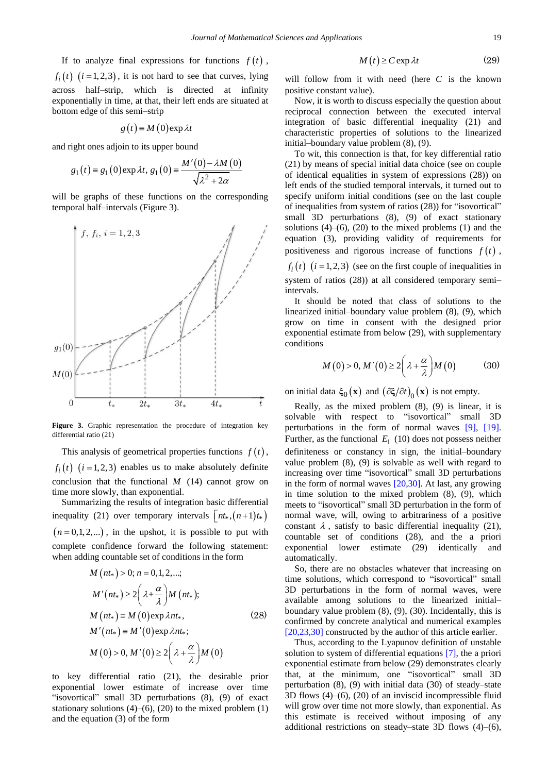If to analyze final expressions for functions  $f(t)$ ,  $f_i(t)$   $(i=1,2,3)$ , it is not hard to see that curves, lying across half–strip, which is directed at infinity exponentially in time, at that, their left ends are situated at bottom edge of this semi–strip

$$
g(t) \equiv M(0) \exp \lambda t
$$

and right ones adjoin to its upper bound

rgnt ones adjom to its upper bound  
\n
$$
g_1(t) = g_1(0) \exp \lambda t, g_1(0) = \frac{M'(0) - \lambda M(0)}{\sqrt{\lambda^2 + 2\alpha}}
$$

will be graphs of these functions on the corresponding temporal half–intervals (Figure 3).



**Figure 3.** Graphic representation the procedure of integration key differential ratio (21)

This analysis of geometrical properties functions  $f(t)$ ,  $f_i(t)$   $(i = 1, 2, 3)$  enables us to make absolutely definite conclusion that the functional  $M$  (14) cannot grow on time more slowly, than exponential.

Summarizing the results of integration basic differential inequality (21) over temporary intervals  $\lfloor nt_*, (n+1)t_* \rfloor$  $(n=0,1,2,...)$ , in the upshot, it is possible to put with complete confidence forward the following statement: when adding countable set of conditions in the form

$$
M(n t*) > 0; n = 0, 1, 2, ...;
$$
  
\n
$$
M'(nt*) \ge 2\left(\lambda + \frac{\alpha}{\lambda}\right)M(nt*);
$$
  
\n
$$
M(nt*) \equiv M(0) \exp \lambda nt*,
$$
  
\n
$$
M'(nt*) \equiv M'(0) \exp \lambda nt*;
$$
  
\n
$$
M(0) > 0, M'(0) \ge 2\left(\lambda + \frac{\alpha}{\lambda}\right)M(0)
$$
  
\n(28)

to key differential ratio (21), the desirable prior exponential lower estimate of increase over time "isovortical" small 3D perturbations (8), (9) of exact stationary solutions  $(4)$ – $(6)$ ,  $(20)$  to the mixed problem  $(1)$ and the equation (3) of the form

$$
M(t) \ge C \exp \lambda t \tag{29}
$$

will follow from it with need (here  $C$  is the known positive constant value).

Now, it is worth to discuss especially the question about reciprocal connection between the executed interval integration of basic differential inequality (21) and characteristic properties of solutions to the linearized initial–boundary value problem (8), (9).

To wit, this connection is that, for key differential ratio (21) by means of special initial data choice (see on couple of identical equalities in system of expressions (28)) on left ends of the studied temporal intervals, it turned out to specify uniform initial conditions (see on the last couple of inequalities from system of ratios (28)) for "isovortical" small 3D perturbations (8), (9) of exact stationary solutions  $(4)$ – $(6)$ ,  $(20)$  to the mixed problems  $(1)$  and the equation (3), providing validity of requirements for positiveness and rigorous increase of functions  $f(t)$ ,

 $f_i(t)$   $(i = 1, 2, 3)$  (see on the first couple of inequalities in system of ratios (28)) at all considered temporary semi– intervals.

It should be noted that class of solutions to the linearized initial–boundary value problem (8), (9), which grow on time in consent with the designed prior exponential estimate from below (29), with supplementary conditions

$$
M(0) > 0, M'(0) \ge 2\left(\lambda + \frac{\alpha}{\lambda}\right)M(0) \tag{30}
$$

on initial data  $\xi_0(\mathbf{x})$  and  $(\partial \xi/\partial t)_0(\mathbf{x})$  is not empty.

Really, as the mixed problem (8), (9) is linear, it is solvable with respect to "isovortical" small 3D perturbations in the form of normal waves [\[9\],](#page-8-3) [\[19\].](#page-9-2) Further, as the functional  $E_1$  (10) does not possess neither definiteness or constancy in sign, the initial–boundary value problem (8), (9) is solvable as well with regard to increasing over time "isovortical" small 3D perturbations in the form of normal waves [\[20,30\].](#page-9-3) At last, any growing in time solution to the mixed problem (8), (9), which meets to "isovortical" small 3D perturbation in the form of normal wave, will, owing to arbitrariness of a positive constant  $\lambda$ , satisfy to basic differential inequality (21), countable set of conditions (28), and the a priori exponential lower estimate (29) identically and automatically.

So, there are no obstacles whatever that increasing on time solutions, which correspond to "isovortical" small 3D perturbations in the form of normal waves, were available among solutions to the linearized initial– boundary value problem (8), (9), (30). Incidentally, this is confirmed by concrete analytical and numerical examples [\[20,23,30\]](#page-9-3) constructed by the author of this article earlier.

Thus, according to the Lyapunov definition of unstable solution to system of differential equations [\[7\],](#page-8-4) the a priori exponential estimate from below (29) demonstrates clearly that, at the minimum, one "isovortical" small 3D perturbation (8), (9) with initial data (30) of steady–state 3D flows (4)–(6), (20) of an inviscid incompressible fluid will grow over time not more slowly, than exponential. As this estimate is received without imposing of any additional restrictions on steady–state 3D flows (4)–(6),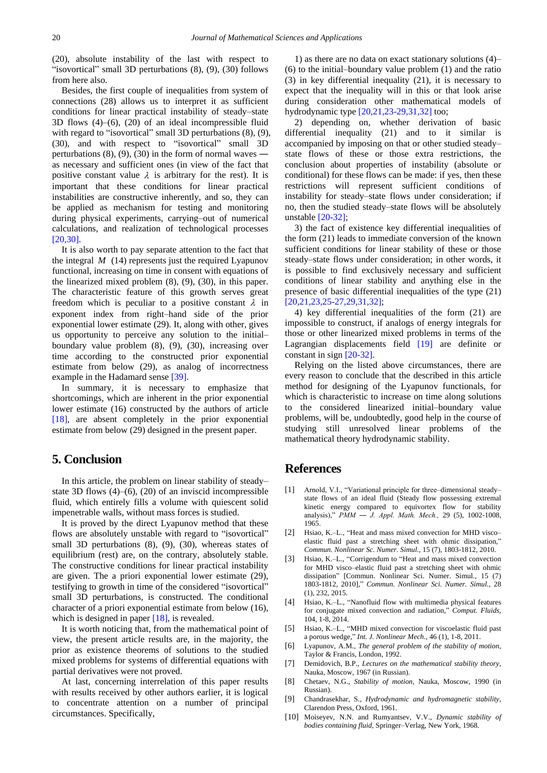(20), absolute instability of the last with respect to "isovortical" small 3D perturbations (8), (9), (30) follows from here also.

Besides, the first couple of inequalities from system of connections (28) allows us to interpret it as sufficient conditions for linear practical instability of steady–state 3D flows (4)–(6), (20) of an ideal incompressible fluid with regard to "isovortical" small 3D perturbations  $(8)$ ,  $(9)$ , (30), and with respect to "isovortical" small 3D perturbations  $(8)$ ,  $(9)$ ,  $(30)$  in the form of normal waves as necessary and sufficient ones (in view of the fact that positive constant value  $\lambda$  is arbitrary for the rest). It is important that these conditions for linear practical instabilities are constructive inherently, and so, they can be applied as mechanism for testing and monitoring during physical experiments, carrying–out of numerical calculations, and realization of technological processes [\[20,30\].](#page-9-3)

It is also worth to pay separate attention to the fact that the integral *M* (14) represents just the required Lyapunov functional, increasing on time in consent with equations of the linearized mixed problem (8), (9), (30), in this paper. The characteristic feature of this growth serves great freedom which is peculiar to a positive constant  $\lambda$  in exponent index from right–hand side of the prior exponential lower estimate (29). It, along with other, gives us opportunity to perceive any solution to the initial– boundary value problem (8), (9), (30), increasing over time according to the constructed prior exponential estimate from below (29), as analog of incorrectness example in the Hadamard sense [\[39\].](#page-9-10)

In summary, it is necessary to emphasize that shortcomings, which are inherent in the prior exponential lower estimate (16) constructed by the authors of article [\[18\],](#page-9-1) are absent completely in the prior exponential estimate from below (29) designed in the present paper.

### **5. Conclusion**

In this article, the problem on linear stability of steady– state 3D flows  $(4)$ – $(6)$ ,  $(20)$  of an inviscid incompressible fluid, which entirely fills a volume with quiescent solid impenetrable walls, without mass forces is studied.

It is proved by the direct Lyapunov method that these flows are absolutely unstable with regard to "isovortical" small 3D perturbations (8), (9), (30), whereas states of equilibrium (rest) are, on the contrary, absolutely stable. The constructive conditions for linear practical instability are given. The a priori exponential lower estimate (29), testifying to growth in time of the considered "isovortical" small 3D perturbations, is constructed. The conditional character of a priori exponential estimate from below (16), which is designed in paper [\[18\],](#page-9-1) is revealed.

It is worth noticing that, from the mathematical point of view, the present article results are, in the majority, the prior as existence theorems of solutions to the studied mixed problems for systems of differential equations with partial derivatives were not proved.

At last, concerning interrelation of this paper results with results received by other authors earlier, it is logical to concentrate attention on a number of principal circumstances. Specifically,

1) as there are no data on exact stationary solutions (4)– (6) to the initial–boundary value problem (1) and the ratio (3) in key differential inequality (21), it is necessary to expect that the inequality will in this or that look arise during consideration other mathematical models of hydrodynamic type [\[20,21,23-29,31,32\]](#page-9-3) too;

2) depending on, whether derivation of basic differential inequality (21) and to it similar is accompanied by imposing on that or other studied steady– state flows of these or those extra restrictions, the conclusion about properties of instability (absolute or conditional) for these flows can be made: if yes, then these restrictions will represent sufficient conditions of instability for steady–state flows under consideration; if no, then the studied steady–state flows will be absolutely unstable [\[20-32\];](#page-9-3)

3) the fact of existence key differential inequalities of the form (21) leads to immediate conversion of the known sufficient conditions for linear stability of these or those steady–state flows under consideration; in other words, it is possible to find exclusively necessary and sufficient conditions of linear stability and anything else in the presence of basic differential inequalities of the type (21) [\[20,21,23,25-27,29,31,32\];](#page-9-3)

4) key differential inequalities of the form (21) are impossible to construct, if analogs of energy integrals for those or other linearized mixed problems in terms of the Lagrangian displacements field [\[19\]](#page-9-2) are definite or constant in sig[n \[20-32\].](#page-9-3)

Relying on the listed above circumstances, there are every reason to conclude that the described in this article method for designing of the Lyapunov functionals, for which is characteristic to increase on time along solutions to the considered linearized initial–boundary value problems, will be, undoubtedly, good help in the course of studying still unresolved linear problems of the mathematical theory hydrodynamic stability.

## **References**

- <span id="page-8-0"></span>[1] Arnold, V.I., "Variational principle for three–dimensional steady– state flows of an ideal fluid (Steady flow possessing extremal kinetic energy compared to equivortex flow for stability analysis)," *PMM ― J. Appl. Math. Mech.,* 29 (5), 1002-1008, 1965.
- <span id="page-8-1"></span>[2] Hsiao, K.–L., "Heat and mass mixed convection for MHD visco– elastic fluid past a stretching sheet with ohmic dissipation," *Commun. Nonlinear Sc. Numer. Simul.,* 15 (7), 1803-1812, 2010.
- [3] Hsiao, K.–L., "Corrigendum to "Heat and mass mixed convection" for MHD visco–elastic fluid past a stretching sheet with ohmic dissipation" [Commun. Nonlinear Sci. Numer. Simul., 15 (7) 1803-1812, 2010]," *Commun. Nonlinear Sci. Numer. Simul.,* 28 (1), 232, 2015.
- [4] Hsiao, K.–L., "Nanofluid flow with multimedia physical features for conjugate mixed convection and radiation," *Comput. Fluids,* 104, 1-8, 2014.
- [5] Hsiao, K.–L., "MHD mixed convection for viscoelastic fluid past a porous wedge," *Int. J. Nonlinear Mech.,* 46 (1), 1-8, 2011.
- <span id="page-8-2"></span>[6] Lyapunov, A.M., *The general problem of the stability of motion,*  Taylor & Francis, London, 1992.
- <span id="page-8-4"></span>[7] Demidovich, B.P., *Lectures on the mathematical stability theory,*  Nauka, Moscow, 1967 (in Russian).
- [8] Chetaev, N.G., *Stability of motion,* Nauka, Moscow, 1990 (in Russian).
- <span id="page-8-3"></span>[9] Chandrasekhar, S., *Hydrodynamic and hydromagnetic stability,*  Clarendon Press, Oxford, 1961.
- [10] Moiseyev, N.N. and Rumyantsev, V.V., *Dynamic stability of bodies containing fluid,* Springer–Verlag, New York, 1968.